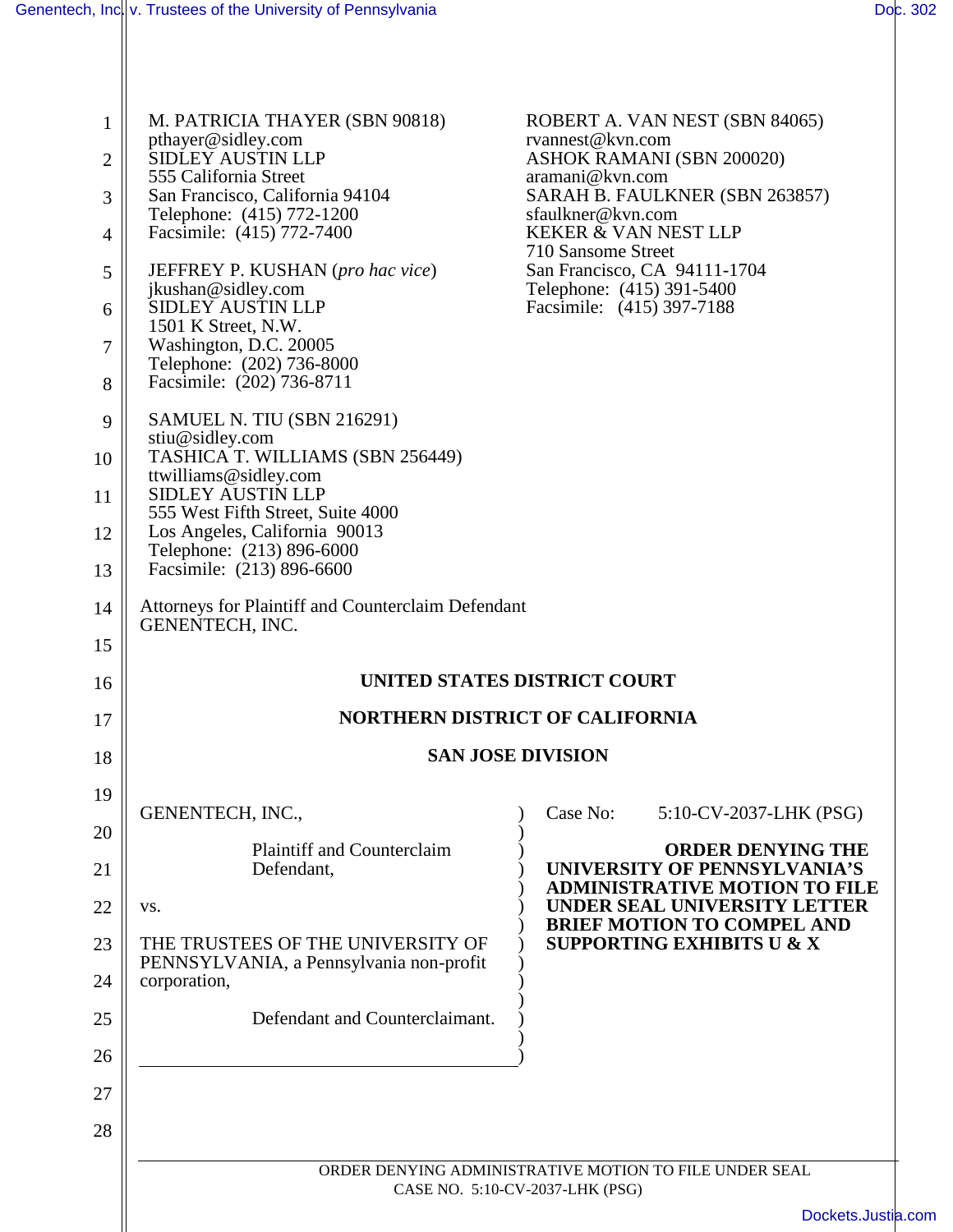| $\mathbf{1}$   | M. PATRICIA THAYER (SBN 90818)                                        | ROBERT A. VAN NEST (SBN 84065)<br>rvannest@kvn.com                                               |
|----------------|-----------------------------------------------------------------------|--------------------------------------------------------------------------------------------------|
| $\overline{2}$ | pthayer@sidley.com<br>SIDLEY AUSTIN LLP                               | ASHOK RAMANI (SBN 200020)                                                                        |
| 3              | 555 California Street<br>San Francisco, California 94104              | aramani@kvn.com<br>SARAH B. FAULKNER (SBN 263857)                                                |
| 4              | Telephone: (415) 772-1200<br>Facsimile: (415) 772-7400                | sfaulkner@kvn.com<br><b>KEKER &amp; VAN NEST LLP</b>                                             |
| 5              | JEFFREY P. KUSHAN (pro hac vice)                                      | 710 Sansome Street<br>San Francisco, CA 94111-1704                                               |
| 6              | jkushan@sidley.com<br>SIDLEY AUSTIN LLP                               | Telephone: (415) 391-5400<br>Facsimile: (415) 397-7188                                           |
|                | 1501 K Street, N.W.                                                   |                                                                                                  |
| 7              | Washington, D.C. 20005<br>Telephone: (202) 736-8000                   |                                                                                                  |
| 8              | Facsimile: (202) 736-8711                                             |                                                                                                  |
| 9              | SAMUEL N. TIU (SBN 216291)<br>stiu@sidley.com                         |                                                                                                  |
| 10             | TASHICA T. WILLIAMS (SBN 256449)<br>ttwilliams@sidley.com             |                                                                                                  |
| 11             | <b>SIDLEY AUSTIN LLP</b><br>555 West Fifth Street, Suite 4000         |                                                                                                  |
| 12             | Los Angeles, California 90013<br>Telephone: (213) 896-6000            |                                                                                                  |
| 13             | Facsimile: (213) 896-6600                                             |                                                                                                  |
| 14             | Attorneys for Plaintiff and Counterclaim Defendant<br>GENENTECH, INC. |                                                                                                  |
| 15             |                                                                       |                                                                                                  |
| 16             |                                                                       | UNITED STATES DISTRICT COURT                                                                     |
|                |                                                                       |                                                                                                  |
| 17             | <b>NORTHERN DISTRICT OF CALIFORNIA</b>                                |                                                                                                  |
| 18             |                                                                       | <b>SAN JOSE DIVISION</b>                                                                         |
| 19             |                                                                       |                                                                                                  |
| 20             | GENENTECH, INC.,                                                      | Case No:<br>5:10-CV-2037-LHK (PSG)                                                               |
| 21             | <b>Plaintiff and Counterclaim</b><br>Defendant,                       | <b>ORDER DENYING THE</b><br>UNIVERSITY OF PENNSYLVANIA'S<br><b>ADMINISTRATIVE MOTION TO FILE</b> |
| 22             | VS.                                                                   | UNDER SEAL UNIVERSITY LETTER<br><b>BRIEF MOTION TO COMPEL AND</b>                                |
| 23             | THE TRUSTEES OF THE UNIVERSITY OF                                     | <b>SUPPORTING EXHIBITS U &amp; X</b>                                                             |
| 24             | PENNSYLVANIA, a Pennsylvania non-profit<br>corporation,               |                                                                                                  |
| 25             | Defendant and Counterclaimant.                                        |                                                                                                  |
| 26             |                                                                       |                                                                                                  |
| 27             |                                                                       |                                                                                                  |
| 28             |                                                                       |                                                                                                  |
|                |                                                                       | ORDER DENYING ADMINISTRATIVE MOTION TO FILE UNDER SEAL                                           |
|                |                                                                       | CASE NO. 5:10-CV-2037-LHK (PSG)<br>Dockets.Justia.com                                            |